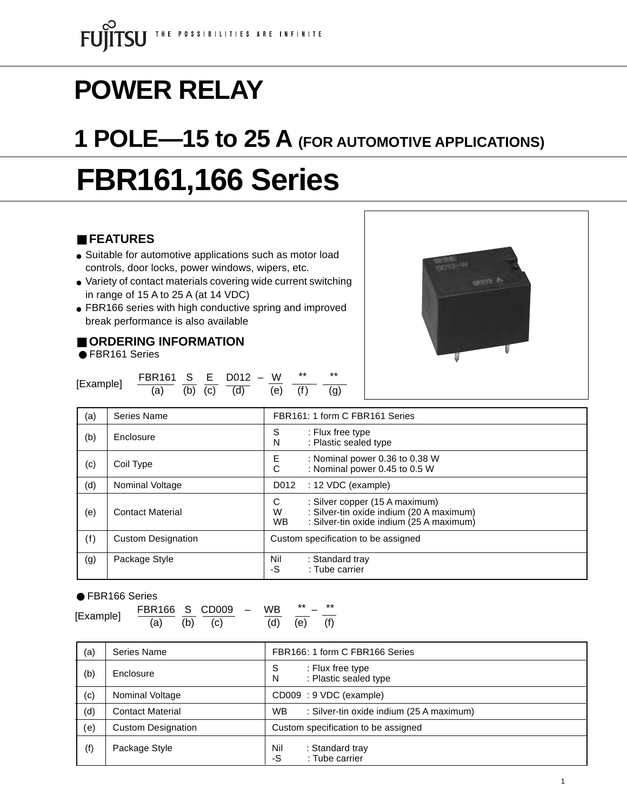# **POWER RELAY**

## **1 POLE—15 to 25 A (FOR AUTOMOTIVE APPLICATIONS)**

# **FBR161,166 Series**

#### ■ **FEATURES**

- Suitable for automotive applications such as motor load controls, door locks, power windows, wipers, etc.
- Variety of contact materials covering wide current switching in range of 15 A to 25 A (at 14 VDC)
- FBR166 series with high conductive spring and improved break performance is also available

#### ■ **ORDERING INFORMATION**

● FBR161 Series

|           | FBR161 S E D012 - W          |  |  | **          | ** |
|-----------|------------------------------|--|--|-------------|----|
| [Example] | (a) (b) (c) $\overline{(d)}$ |  |  | (e) (f) (g) |    |



| (a) | Series Name               | FBR161: 1 form C FBR161 Series                                                                                                                |
|-----|---------------------------|-----------------------------------------------------------------------------------------------------------------------------------------------|
| (b) | Enclosure                 | S<br>: Flux free type<br>: Plastic sealed type<br>N                                                                                           |
| (c) | Coil Type                 | Е<br>: Nominal power 0.36 to 0.38 W<br>: Nominal power 0.45 to 0.5 W<br>С                                                                     |
| (d) | Nominal Voltage           | : 12 VDC (example)<br>D012                                                                                                                    |
| (e) | <b>Contact Material</b>   | C<br>: Silver copper (15 A maximum)<br>: Silver-tin oxide indium (20 A maximum)<br>W<br>: Silver-tin oxide indium (25 A maximum)<br><b>WB</b> |
| (f) | <b>Custom Designation</b> | Custom specification to be assigned                                                                                                           |
| (g) | Package Style             | Nil<br>: Standard tray<br>: Tube carrier<br>-S                                                                                                |

#### ● FBR166 Series

[Example]  $\frac{FBR166}{(a)} \cdot \frac{S}{(b)} \cdot \frac{CDO09}{(c)} - \frac{WB}{(d)} \cdot \frac{**}{(e)} - \frac{***}{(f)}$ 

| (a) | Series Name               | FBR166: 1 form C FBR166 Series                        |
|-----|---------------------------|-------------------------------------------------------|
| (b) | Enclosure                 | S<br>: Flux free type<br>: Plastic sealed type<br>N   |
| (c) | Nominal Voltage           | CD009: 9 VDC (example)                                |
| (d) | <b>Contact Material</b>   | <b>WB</b><br>: Silver-tin oxide indium (25 A maximum) |
| (e) | <b>Custom Designation</b> | Custom specification to be assigned                   |
| (f) | Package Style             | Nil<br>: Standard tray<br>: Tube carrier<br>-S        |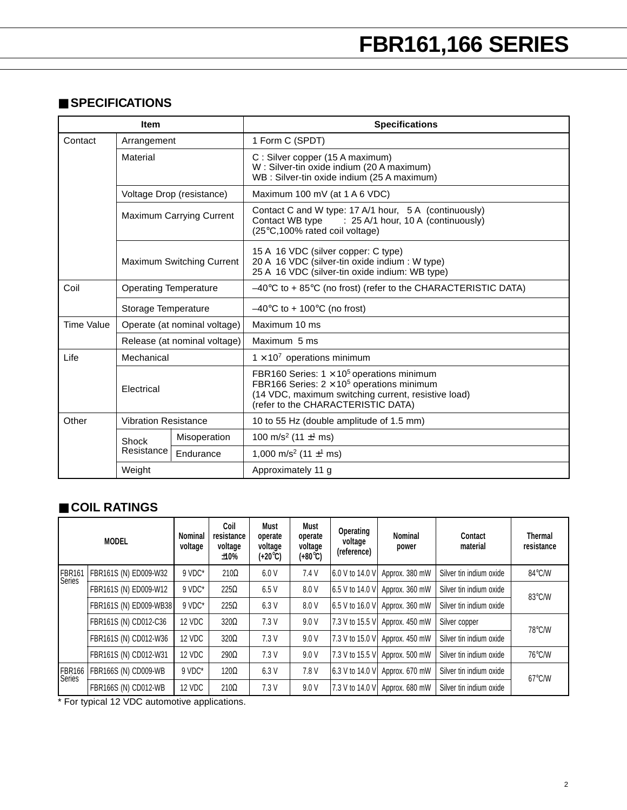#### ■ **SPECIFICATIONS**

|                   | <b>Specifications</b><br><b>Item</b> |                                                                                                                                                                                  |                                                                                                                                                                                                    |  |  |  |
|-------------------|--------------------------------------|----------------------------------------------------------------------------------------------------------------------------------------------------------------------------------|----------------------------------------------------------------------------------------------------------------------------------------------------------------------------------------------------|--|--|--|
| Contact           | Arrangement                          |                                                                                                                                                                                  | 1 Form C (SPDT)                                                                                                                                                                                    |  |  |  |
|                   | Material                             |                                                                                                                                                                                  | C: Silver copper (15 A maximum)<br>W: Silver-tin oxide indium (20 A maximum)<br>WB: Silver-tin oxide indium (25 A maximum)                                                                         |  |  |  |
|                   |                                      | Voltage Drop (resistance)                                                                                                                                                        | Maximum 100 mV (at 1 A 6 VDC)                                                                                                                                                                      |  |  |  |
|                   |                                      | Contact C and W type: 17 A/1 hour, 5 A (continuously)<br><b>Maximum Carrying Current</b><br>Contact WB type : 25 A/1 hour, 10 A (continuously)<br>(25°C,100% rated coil voltage) |                                                                                                                                                                                                    |  |  |  |
|                   |                                      | Maximum Switching Current                                                                                                                                                        | 15 A 16 VDC (silver copper: C type)<br>20 A 16 VDC (silver-tin oxide indium : W type)<br>25 A 16 VDC (silver-tin oxide indium: WB type)                                                            |  |  |  |
| Coil              | <b>Operating Temperature</b>         |                                                                                                                                                                                  | $-40^{\circ}$ C to + 85 $^{\circ}$ C (no frost) (refer to the CHARACTERISTIC DATA)                                                                                                                 |  |  |  |
|                   | Storage Temperature                  |                                                                                                                                                                                  | $-40^{\circ}$ C to + 100 $^{\circ}$ C (no frost)                                                                                                                                                   |  |  |  |
| <b>Time Value</b> |                                      | Operate (at nominal voltage)                                                                                                                                                     | Maximum 10 ms                                                                                                                                                                                      |  |  |  |
|                   |                                      | Release (at nominal voltage)                                                                                                                                                     | Maximum 5 ms                                                                                                                                                                                       |  |  |  |
| Life              | Mechanical                           |                                                                                                                                                                                  | $1 \times 10^7$ operations minimum                                                                                                                                                                 |  |  |  |
|                   | Electrical                           |                                                                                                                                                                                  | FBR160 Series: $1 \times 10^5$ operations minimum<br>FBR166 Series: $2 \times 10^5$ operations minimum<br>(14 VDC, maximum switching current, resistive load)<br>refer to the CHARACTERISTIC DATA) |  |  |  |
| Other             | <b>Vibration Resistance</b>          |                                                                                                                                                                                  | 10 to 55 Hz (double amplitude of 1.5 mm)                                                                                                                                                           |  |  |  |
|                   | Shock                                | Misoperation                                                                                                                                                                     | 100 m/s <sup>2</sup> (11 $\pm$ <sup>1</sup> ms)                                                                                                                                                    |  |  |  |
|                   | Resistance                           | Endurance                                                                                                                                                                        | 1,000 m/s <sup>2</sup> (11 $\pm$ <sup>1</sup> ms)                                                                                                                                                  |  |  |  |
|                   | Weight                               |                                                                                                                                                                                  | Approximately 11 g                                                                                                                                                                                 |  |  |  |

#### ■ **COIL RATINGS**

|                                     | <b>MODEL</b>           | Nominal<br>voltage | Coil<br>resistance<br>voltage<br>±10% | Must<br>operate<br>voltage<br>$(+20^{\circ}C)$ | Must<br>operate<br>voltage<br>(+80°C) | Operating<br>voltage<br>(reference) | Nominal<br>power | Contact<br>material     | <b>Thermal</b><br>resistance |
|-------------------------------------|------------------------|--------------------|---------------------------------------|------------------------------------------------|---------------------------------------|-------------------------------------|------------------|-------------------------|------------------------------|
| FBR <sub>161</sub><br><b>Series</b> | FBR161S (N) ED009-W32  | $9 VDC^*$          | $210\Omega$                           | 6.0 V                                          | 7.4V                                  | 6.0 V to 14.0 V                     | Approx. 380 mW   | Silver tin indium oxide | 84°C/W                       |
|                                     | FBR161S (N) ED009-W12  | $9 VDC^*$          | $225\Omega$                           | 6.5V                                           | 8.0 V                                 | 6.5 V to 14.0 V                     | Approx. 360 mW   | Silver tin indium oxide | 83°C/W                       |
|                                     | FBR161S (N) ED009-WB38 | $9 VDC^*$          | $225\Omega$                           | 6.3V                                           | 8.0 V                                 | 6.5 V to 16.0 V                     | Approx. 360 mW   | Silver tin indium oxide |                              |
|                                     | FBR161S (N) CD012-C36  | 12 VDC             | $320\Omega$                           | 7.3V                                           | 9.0V                                  | 7.3 V to 15.5 V                     | Approx. 450 mW   | Silver copper           | 78°C/W                       |
|                                     | FBR161S (N) CD012-W36  | 12 VDC             | $320\Omega$                           | 7.3V                                           | 9.0V                                  | 7.3 V to 15.0 V                     | Approx. 450 mW   | Silver tin indium oxide |                              |
|                                     | FBR161S (N) CD012-W31  | 12 VDC             | $290\Omega$                           | 7.3V                                           | 9.0V                                  | 7.3 V to 15.5 V                     | Approx. 500 mW   | Silver tin indium oxide | 76°C/W                       |
| IFBR166<br>Series                   | FBR166S (N) CD009-WB   | $9 VDC^*$          | $120\Omega$                           | 6.3V                                           | 7.8 V                                 | 6.3 V to 14.0 V                     | Approx. 670 mW   | Silver tin indium oxide | $67^{\circ}$ C/W             |
|                                     | FBR166S (N) CD012-WB   | 12 VDC             | $210\Omega$                           | 7.3V                                           | 9.0V                                  | 7.3 V to 14.0 V                     | Approx. 680 mW   | Silver tin indium oxide |                              |

\* For typical 12 VDC automotive applications.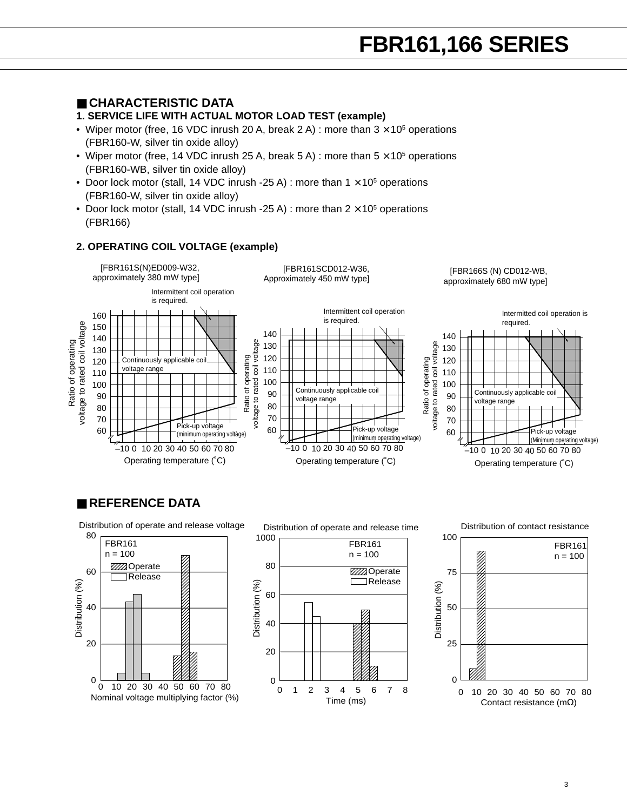#### ■ **CHARACTERISTIC DATA**

#### **1. SERVICE LIFE WITH ACTUAL MOTOR LOAD TEST (example)**

- Wiper motor (free, 16 VDC inrush 20 A, break 2 A) : more than  $3 \times 10^5$  operations (FBR160-W, silver tin oxide alloy)
- Wiper motor (free, 14 VDC inrush 25 A, break 5 A) : more than  $5 \times 10^5$  operations (FBR160-WB, silver tin oxide alloy)
- Door lock motor (stall, 14 VDC inrush -25 A) : more than  $1 \times 10^5$  operations (FBR160-W, silver tin oxide alloy)
- Door lock motor (stall, 14 VDC inrush -25 A) : more than  $2 \times 10^5$  operations (FBR166)

#### **2. OPERATING COIL VOLTAGE (example)**



#### ■ **REFERENCE DATA**